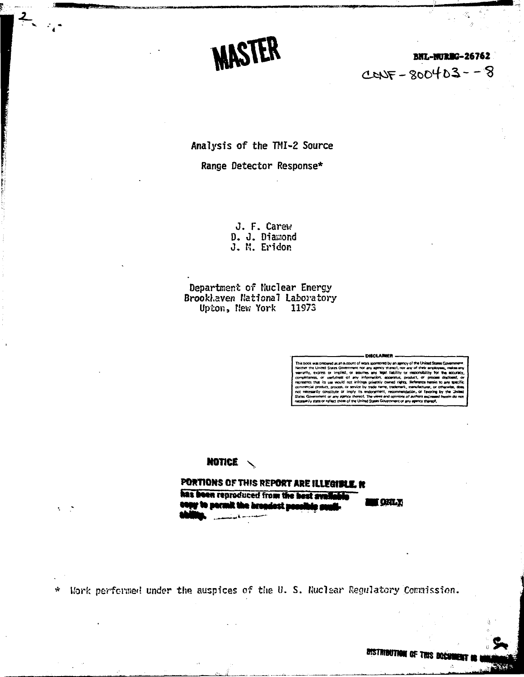**MASTER** 

### **BNL-MURBG-26762**  $C$ CNF - 800403 - - 8

Analysis of the TMI-2 Source

Range Detector Response\*

J. F. Carew D. J. Diamond<br>J. M. Eridon

Department of Nuclear Energy Brookhaven National Laboratory Upton, New York 11973

#### NOTICE  $\sqrt{ }$

PORTIONS OF THIS REPORT ARE ILLEGIBLE. It has been reproduced from the best avail i gril t ly to permit the brondest peo

Work performed under the auspices of the U.S. Nuclear Regulatory Commission.  $\star$ 

**DISTRIBUTION OF THIS DOCK**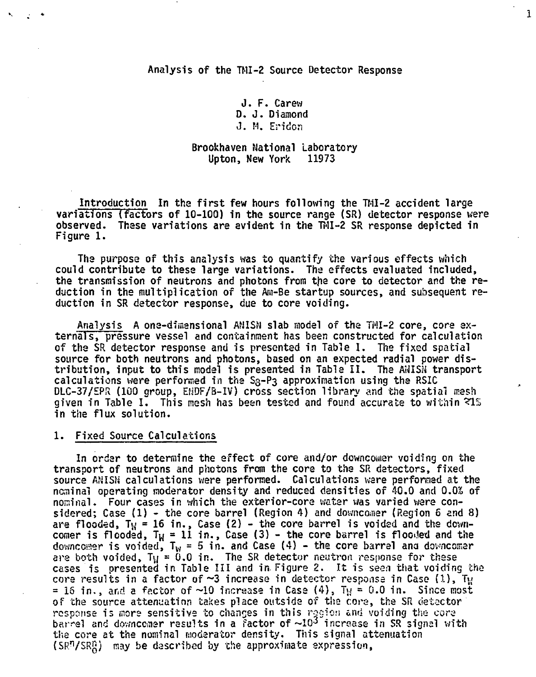Analysis of the TMI-2 Source Detector Response

J. F. Carew D. J. Diamond J. M. Eridcn

#### **Brookhaven National Laboratory Upton, New York 11973**

**Introduction In tha first few hours following the TMI-2 accident large variations (factors of 10-100) in the source range (SR) detector response were observed. These variations are evident in the TMI-2 SR response depicted in Figure 1.**

**The purpose of this analysis was to quantify the various effects which could contribute to these large variations. The effects evaluated included,** the transmission of neutrons and photons from the core to detector and the re**duction in the multiplication of the Ani-Be startup sources, and subsequent reduction in SR detector response, due to core voiding.**

**Analysis A one-dimensional AMISN slab model of tha TMI-2 core, core externals, pressure vessel and containment has been constructed for calculation of the SR detector response and is presented in Table I. The fixed spatial source for both neutrons and photons, based on an expected radial power distribution, input to this model is presented in Table II. The AMISN transport calculations were performed in the S3-P3 approximation using the RSIC DLC-37/EPR (100 group, EHDF/B-IV) cross section library and the spatial mesh given in Table I. This mesh has been tested and found accurate to within ~lfs in the flux solution.**

#### **1. Fixed Source Calculations**

**In order to determine the effect of core and/or downcomar voiding on the transport of neutrons and photons from the core to the SR detectors, fixed source ANISN calculations were performed. Calculations ware performed at the nominal operating moderator density and reducad densities of 40.0 and 0.0S of nominal. Four cases in which the exterior-core weter was varied ware considered; Case (1) - the core barrel (Region 4} and downcoinar (Region 6 and 8) are flooded, Ty = 16 in., Case (2) - the core barrel is voided and the down**comer is flooded,  $T_M = 11$  in., Case (3) - the core barrel is flooded and the downcomer is voided,  $T_W = 5$  in. and Case (4) - the core barrel and downcomer **are both voided, Ty = 0.0 in. The SR detector neutron response for these cases is presented in Table III and in Figure 2. It is seen that voiding the core results in a factor of ~3 increase in detector response in Case (1), Ty**  $= 16$  in., and a factor of  $\sim 10$  increase in Case  $(4)$ ,  $T_H = 0.0$  in. Since most **of the source attenuation takes place outside of tha cora, the SR cietactor '** response is more sensitive to changes in this region and voiding the core **barrel and downcanar results in a factor of ~10<sup>3</sup> increase in SR signal with the core at the nominal moderator density. This signal attenuation (SR<sup>n</sup>/SRg) may be described by the approximate expression,**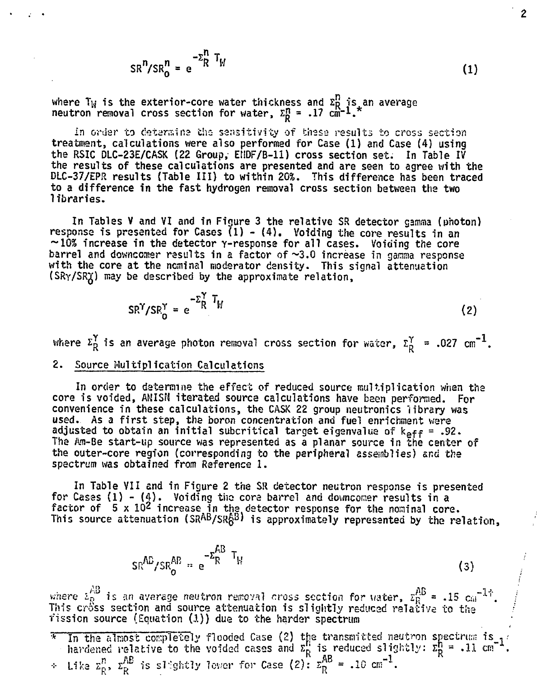$$
SR^n / SR_0^n = e^{-\Sigma_R^n T_H}
$$
 (1)

where  $\texttt{T}_{\texttt{W}}$  is the exterior-core water thickness and  $\texttt{z}^{\texttt{u}}_{\texttt{R}}$  is an average neutron removal cross section for water,  $\Sigma_{\texttt{D}}^{\texttt{fl}}$  = .17 cm̄= $1$ .

in order to determine the sensitivity of these results to cross section treatment, calculations were also performed for Case (1) and Case (4) using the RSIC DLC-23E/CASK (22 Group, EIIDF/B-11) cross section set. In Table IV the results of these calculations are presented and are seen to agree with the DLC-37/EPR results (Table III) to within 20%. This difference has been traced to a difference in the fast hydrogen removal cross section between the two 1 ibraries.

In Tables V and VI and in Figure 3 the relative SR detector gamma (photon) response is presented for Cases  $(1)$  -  $(4)$ . Voiding the core results in an  $\sim$ 10% increase in the detector  $\gamma$ -response for all cases. Voiding the core barrel and downcomer results in a factor of  $\sim 3.0$  increase in gamma response with the core at the nominal moderator density. This signal attenuation (SRy/SRjJ) may be described by the approximate relation,

$$
SR^{\gamma}/SR_0^{\gamma} = e^{-\Sigma_R^{\gamma} T_H}
$$
 (2)

where  $z_R^{\gamma}$  is an average photon removal cross section for water,  $z_R^{\gamma}$  = .027 cm<sup>-1</sup>.

#### 2. Source Multiplication Calculations

In order to determine the effect of reduced source multiplication when the core is voided, ANISN iterated source calculations have been performed. For convenience in these calculations, the CASK 22 group neutronics library was used. As a first step, the boron concentration and fuel enrichment ware adjusted to obtain an initial subcritical target eigenvalue of  $k_{\texttt{eff}}$  = .92. The Am-Be start-up source was represented as a planar source in the center of the outer-core region (corresponding to the peripheral assemblies) and the spectrum was obtained from Reference 1.

In Table VII and in Figure 2 the SR detector neutron response is presented for Cases  $(1) - (4)$ . Voiding the core barrel and downcomer results in a factor of 5 x 10<sup>2</sup> increase in the detector response for the nominal core. This source attenuation (SRAB/SR $6^{\text{B}}$ ) is approximately represented by the relation,

$$
SR^{AB}/SR^{AB}_{O} = e^{-Z_R^{AB}T_H}
$$
 (3)

where  $\lambda_{\rm R}^{\rm HD}$  is an average neutron removal cross section for water,  $z_{\rm R}^{\rm BD}$  = .15  $\rm{cm}^{-17}$  . This cross section and source attenuation is slightly reduced relative to the fission source (Equation (I)) due to the harder spectrum

 $\div$  Like  $\text{z}_\text{p}^\text{B}$ ,  $\text{z}_\text{p}^\text{AB}$  is slightly lower for Case (2):  $\text{z}_\text{R}^\text{AB}$  = .10 cm $^{-1}.$ 

 $*$  In the almost completely flooded Case (2) the transmitted neutron spectrum is  $, \cdot$ hardened relative to the voided cases and  $\Sigma_{\rm R}^{\rm H}$  is reduced slightly:  $\Sigma_{\rm R}^{\rm H}$  = .11 cm  $^{-1}$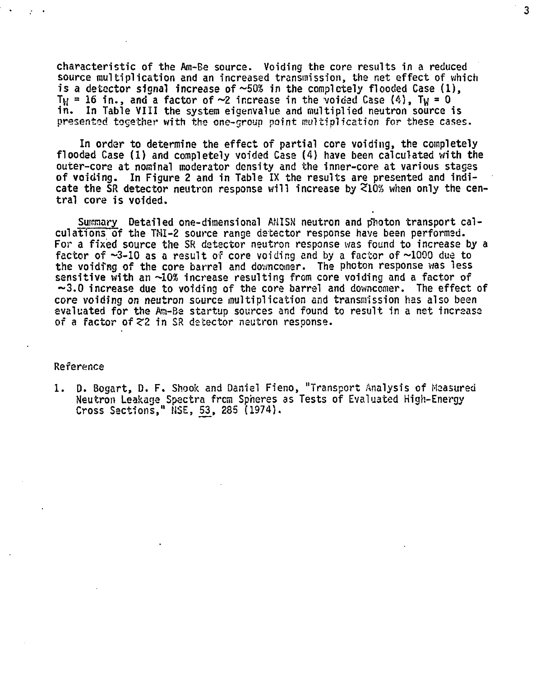**characteristic of the Am-Be source. Voiding the core results in a reduced source multiplication and an increased transmission, the net effect of which is a detector signal increase of ~50£ in the completely flooded Case (1),** T<sub>W</sub> = 16 in., and a factor of  $\sim$ 2 increase in the voided Case  $(4)$ , T<sub>W</sub> = 0 **in. In Table VIII the system eigenvalue and multiplied neutron source is presented together with the one-group point multiplication for these cases.**

 $\overline{\mathbf{3}}$ 

**In order to determine the effect of partial core voiding, the completely flooded Case (1) and completely voided Case (4) have been calculated with the outer-core at nominal moderator density and the inner-core at various stages of voiding. In Figure 2 and in Table IX the results are presented and indicate the SR detector neutron response will increase by <10% when only the central core is voided.**

Surmary Detailed one-dimensional AMISN neutron and photon transport cal**culations of the TMI-2 source range detector response have been performed. For a fixed source the SR detector neutron response was found to increase by a factor of -3-10 as a result of core voiding and by a factor of ~1000 due to** the voiding of the core barrel and downcomer. The photon response was less **sensitive with an —10% increase resulting from core voiding and a factor of ~3.0 increase due to voiding of the core barrel and downcomer. The effect of core voiding OR neutron source multiplication and transmission has also been** evaluated for the Am-Be startup sources and found to result in a net increase **of a factor ofZZ in SR detector neutron response.**

#### **Reference**

**1. D. Bogart, D. F. Shook and Daniel Fieno, "Transport Analysis of Measured Neutron Leakage Spectra from Spheres as Tests of Evaluated High-Energy Cross Sections," MSE, 53, 285 (1974).**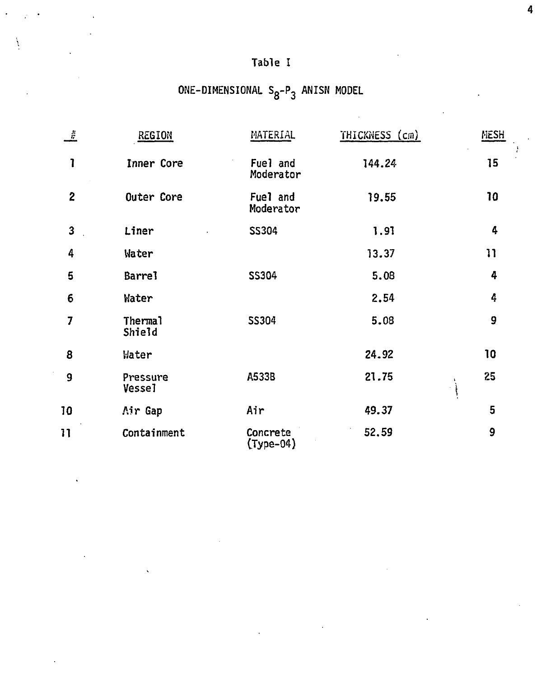# **Table I**

# **ONE-DIMENSIONAL Sg-P3 ANISN MODEL**

| $\frac{\mu}{H}$ | REGION                    | MATERIAL                | THICKNESS (cm) | MESH                                  |
|-----------------|---------------------------|-------------------------|----------------|---------------------------------------|
| 1               | Inner Core                | Fuel and<br>Moderator   | 144.24         | 15                                    |
| $\overline{2}$  | Outer Core                | Fuel and<br>Moderator   | 19.55          | 10                                    |
| 3               | Liner                     | <b>SS304</b>            | 1.91           | 4                                     |
| 4               | Water                     |                         | 13.37          | 11                                    |
| 5               | Barre <sub>1</sub>        | <b>SS304</b>            | 5.08           | 4                                     |
| 6               | Water                     |                         | 2.54           | 4                                     |
| 7               | Thermal<br>Shield         | SS304                   | 5.08           | 9                                     |
| 8               | Water                     |                         | 24.92          | 10                                    |
| 9               | Pressure<br><b>Vessel</b> | A533B                   | 21.75          | 25<br>$\pmb{\lambda}$<br>$\mathbf{r}$ |
| 10              | Air Gap                   | Air                     | 49.37          | 5                                     |
| 11              | Containment               | Concrete<br>$(Type-04)$ | 52.59          | 9                                     |

 $\ddot{\phantom{0}}$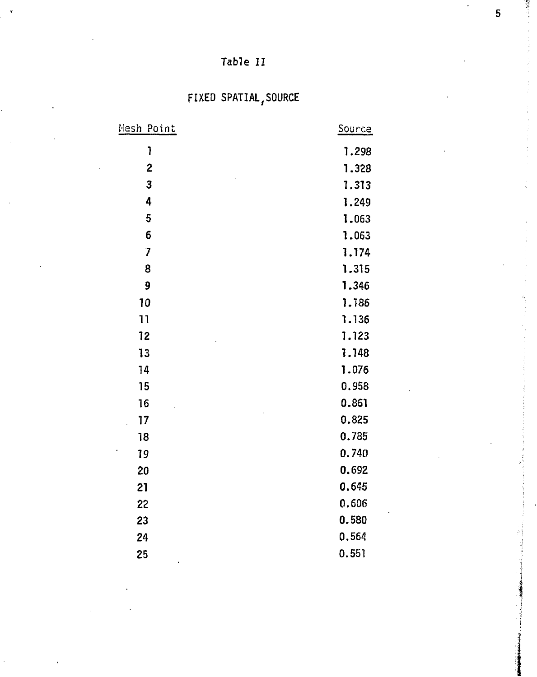## Table II

# FIXED SPATIAL,SOURCE

| <u>Mesh Point</u> | <b>Source</b> |
|-------------------|---------------|
| I                 | 1.298         |
| $\overline{c}$    | 1.328         |
| 3                 | 1.313         |
| 4                 | 1.249         |
| 5                 | 1.063         |
| 6                 | 1.063         |
| 7                 | 1.174         |
| 8                 | 1.315         |
| 9                 | 1.346         |
| 10                | 1.186         |
| 11                | 1.136         |
| 12                | 1.123         |
| 13                | 1.148         |
| 14                | 1.076         |
| 15                | 0.958         |
| 16                | 0.861         |
| 17                | 0.825         |
| 18                | 0.785         |
| 19                | 0.740         |
| 20                | 0.692         |
| 21                | 0.645         |
| 22                | 0.606         |
| 23                | 0.580         |
| 24                | 0.564         |
| 25                | 0.551         |
|                   |               |

5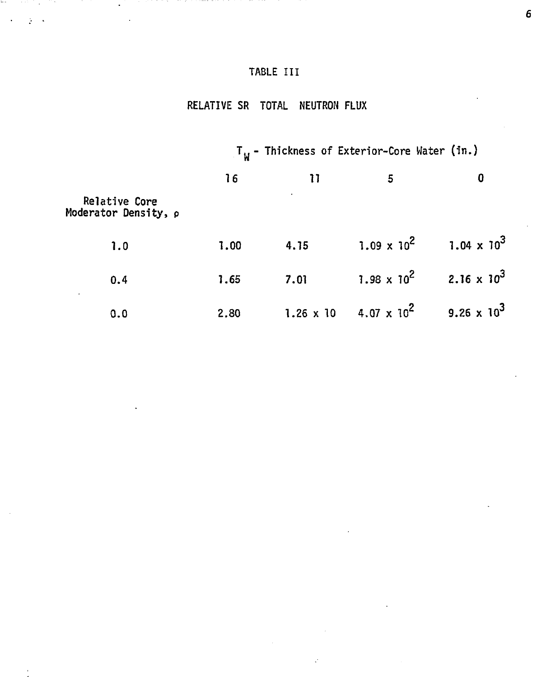### **TABLE III**

المراريع المتحل

 $\ddot{\phantom{a}}$ 

m.

### **RELATIVE SR TOTAL NEUTRON FLUX**

|                                       | $T_{ij}$ - Thickness of Exterior-Core Water (in.) |                  |                                             |                                           |
|---------------------------------------|---------------------------------------------------|------------------|---------------------------------------------|-------------------------------------------|
|                                       | 16                                                | 11               | 5                                           | 0                                         |
| Relative Core<br>Moderator Density, p |                                                   |                  |                                             |                                           |
| 1.0                                   | 1.00                                              | 4.15             |                                             | $1.09 \times 10^2$ 1.04 x 10 <sup>3</sup> |
| 0.4                                   | 1.65                                              | 7.01             |                                             | $1.98 \times 10^2$ 2.16 x 10 <sup>3</sup> |
| 0.0                                   | 2.80                                              | $1.26 \times 10$ | $4.07 \times 10^{2}$ 9.26 x 10 <sup>3</sup> |                                           |

 $\pmb{6}$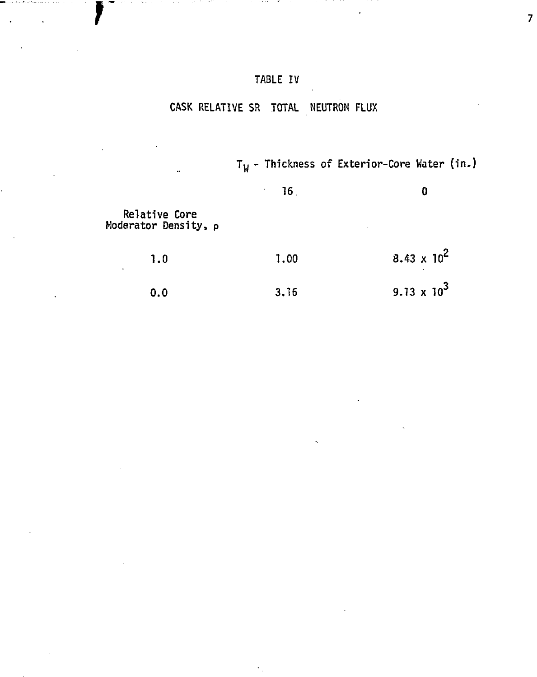#### **TABLE IV**

 $\overline{1}$ 

#### **CASK RELATIVE SR TOTAL NEUTRON FLUX**

**Tw - Thickness of Exterior-Core Water (In.)**

 $\overline{7}$ 

**16 0**

**Relative Core Moderator Density, p**

| 1.0 | 1.00 | 8.43 x $10^2$ |
|-----|------|---------------|
| 0.0 | 3.16 | 9.13 x $10^3$ |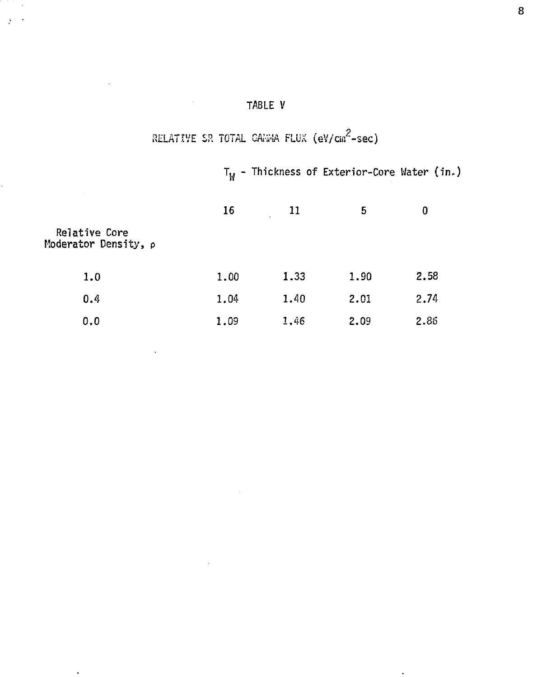### TABLE V

 $\frac{1}{2}$  .

 $\ddot{\phantom{a}}$ 

 $\ddot{\phantom{1}}$ 

 $\ddot{\phantom{a}}$ 

# RELATIVE SR TOTAL GAHHA FLUX  $(eV/cm^2\text{-sec})$

 $T_W$  - Thickness of Exterior-Core Water (in.)

|                                       | 16   | 11<br>$\lambda$ | 5    | 0    |
|---------------------------------------|------|-----------------|------|------|
| Relative Core<br>Moderator Density, p |      |                 |      |      |
| 1.0                                   | 1.00 | 1.33            | 1.90 | 2.58 |
| 0.4                                   | 1.04 | 1.40            | 2.01 | 2.74 |
| 0.0                                   | 1.09 | 1.46            | 2.09 | 2.86 |

8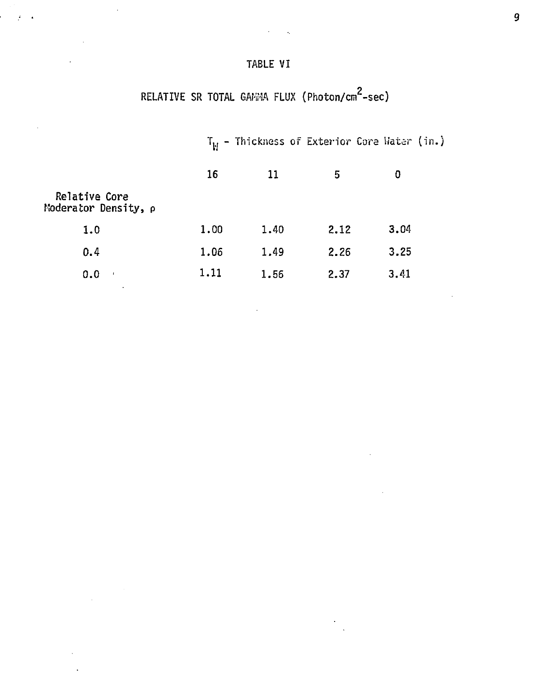#### TABLE VI

Ĭ.

 $\mathcal{F} = \mathcal{F}$ 

 $\bar{z}$ 

# RELATIVE SR TOTAL GAMMA FLUX (Photon/cm<sup>2</sup>-sec)

|                                       |      |      |      | $T_{\rm M}$ - Thickness of Exterior Core Water (in.) |  |
|---------------------------------------|------|------|------|------------------------------------------------------|--|
|                                       | 16   | 11   | 5    | Ð                                                    |  |
| Relative Core<br>Moderator Density, p |      |      |      |                                                      |  |
| 1.0                                   | 1.00 | 1.40 | 2.12 | 3.04                                                 |  |
| 0.4                                   | 1.06 | 1.49 | 2.26 | 3.25                                                 |  |
| 0.0<br>$\mathbf{I}$                   | 1.11 | 1.56 | 2.37 | 3.41                                                 |  |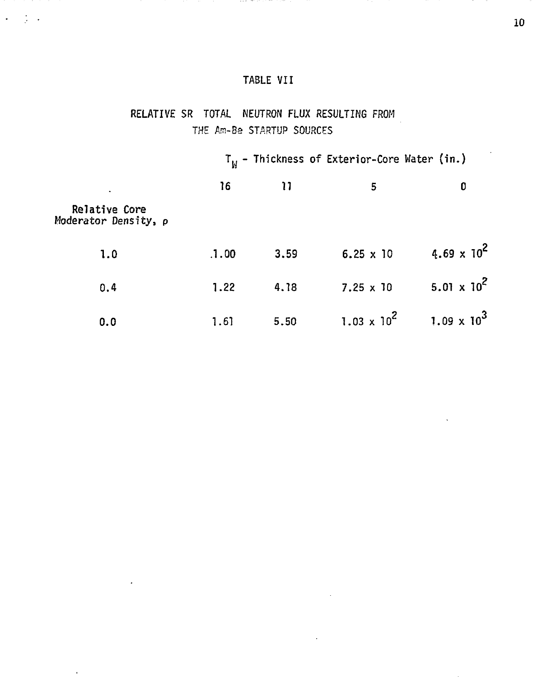#### TABLE VII

and the control

 $\mathcal{L} = \{1,2,3\}$ 

 $\hat{\mathcal{A}}$ 

### RELATIVE SR TOTAL NEUTRON FLUX RESULTING FROM THE Am-Be STARTUP SOURCES

|                                       |       |      | $T_W$ - Thickness of Exterior-Core Water (in.) |                      |
|---------------------------------------|-------|------|------------------------------------------------|----------------------|
| ٠                                     | 16    | 11   | 5                                              | 0                    |
| Relative Core<br>Moderator Density, p |       |      |                                                |                      |
| 1.0                                   | .1.00 | 3.59 | $6.25 \times 10$                               | 4.69 x $10^2$        |
| 0.4                                   | 1.22  | 4.18 | $7.25 \times 10$                               | $5.01 \times 10^{2}$ |
| 0.0                                   | 1.61  | 5.50 | $1.03 \times 10^2$                             | $1.09 \times 10^3$   |

10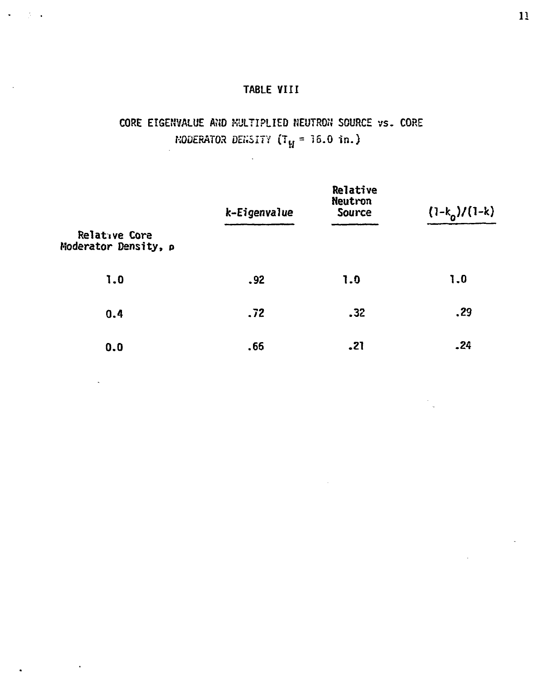#### **TABLE VIII**

 $\ddot{\phantom{0}}$ 

 $\ddot{\phantom{0}}$ 

### **CORE** EIGENVALUE AND MULTIPLIED NEUTRON SOURCE vs. CORE MODERATOR DENSITY  $(T_H = 16.0 \text{ in.})$

|                                       | k-Eigenvalue | Relative<br>Neutron<br><b>Source</b> | $(1-k_0)/(1-k)$ |
|---------------------------------------|--------------|--------------------------------------|-----------------|
| Relative Core<br>Moderator Density, p |              |                                      |                 |
| 1.0                                   | .92          | 1.9                                  | 1.0             |
| 0.4                                   | .72          | .32                                  | .29             |
| 0.0                                   | .66          | .21                                  | .24             |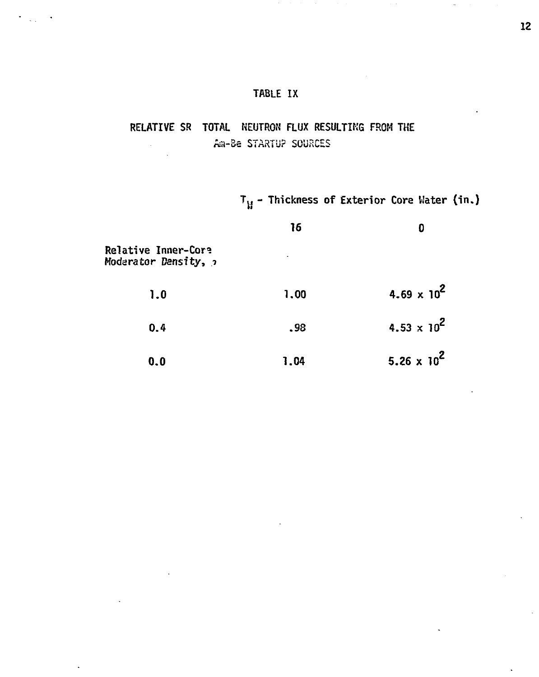#### **TABLE IX**

#### **RELATIVE SR TOTAL NEUTRON FLUX RESULTING** FROM **THE** fta-Be STARTUP SOURCES

 $T_M$  - Thickness of Exterior Core Water (in.)

|                                             | 16   | Đ                             |
|---------------------------------------------|------|-------------------------------|
| Relative Inner-Core<br>Moderator Density, 2 | ٠    |                               |
| 1.0                                         | 1.00 | $4.69 \times 10^{2}$          |
| 0.4                                         | .98  | 4.53 $\times$ 10 <sup>2</sup> |
| 0.0                                         | 1.04 | 5.26 $\times$ 10 <sup>2</sup> |

 $\ddot{\phantom{1}}$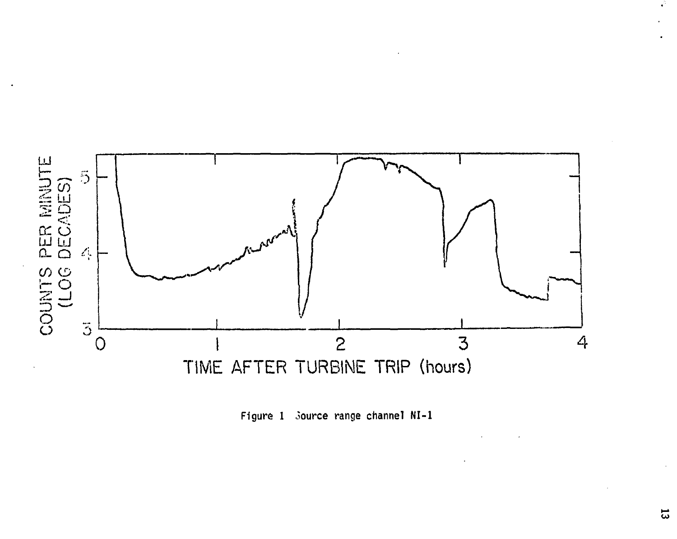

**Figure 1 Source range channel NI-1**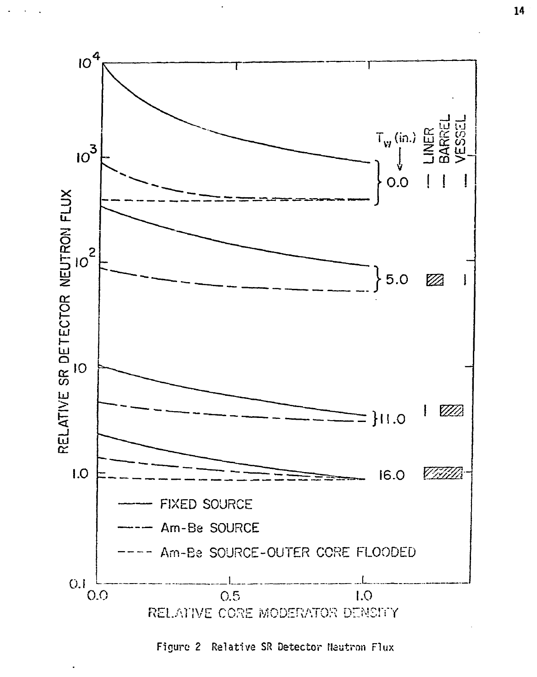